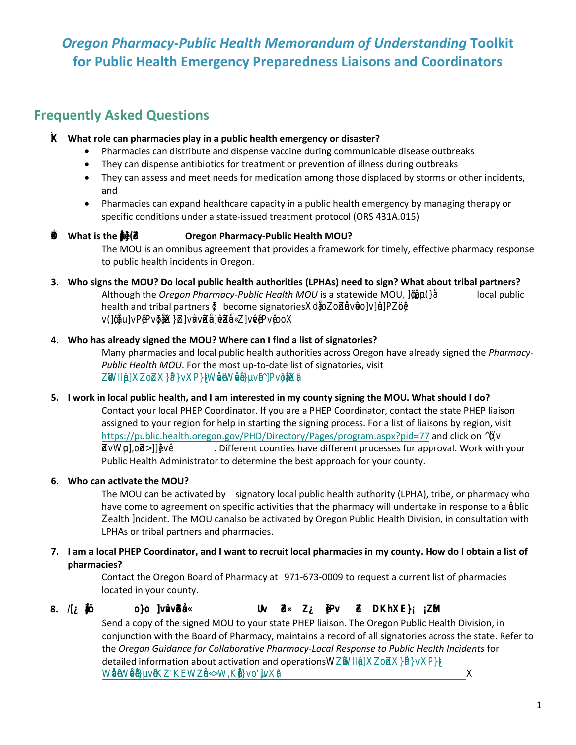# **Oregon Pharmacy-Public Health Memorandum of Understanding Toolkit** for Public Health Emergency Preparedness Liaisons and Coordinators

## **Frequently Asked Questions**

## K What role can pharmacies play in a public health emergency or disaster?

- Pharmacies can distribute and dispense vaccine during communicable disease outbreaks
- They can dispense antibiotics for treatment or prevention of illness during outbreaks
- They can assess and meet needs for medication among those displaced by storms or other incidents, and
- Pharmacies can expand healthcare capacity in a public health emergency by managing therapy or specific conditions under a state-issued treatment protocol (ORS 431A.015)

#### $\mathcal{K}$  What is the  $\mathbb{K}$ **Oregon Pharmacy-Public Health MOU?**

The MOU is an omnibus agreement that provides a framework for timely, effective pharmacy response to public health incidents in Oregon.

3. Who signs the MOU? Do local public health authorities (LPHAs) need to sign? What about tribal partners? Although the Oregon Pharmacy-Public Health MOU is a statewide MOU,  $\mathring{\beta}_{\mathsf{U}}(\mathcal{V}\mathsf{E})$ local public health and tribal partners \$ become signatories ADE as ovePay V(BDFPPVBBABDDDDDDDX

## 4. Who has already signed the MOU? Where can I find a list of signatories?

Many pharmacies and local public health authorities across Oregon have already signed the *Pharmacy-*Public Health MOU. For the most up-to-date list of signatories, visit **XXIBAKEY RAV CHAV SHEVEP V KLO** 

## 5. I work in local public health, and I am interested in my county signing the MOU. What should I do?

Contact your local PHEP Coordinator. If you are a PHEP Coordinator, contact the state PHEP liaison assigned to your region for help in starting the signing process. For a list of liaisons by region, visit https://public.health.oregon.gov/PHD/Directory/Pages/program.aspx?pid=77 and click on  $\circ$ •¥⊙[aW∦ . Different counties have different processes for approval. Work with your Public Health Administrator to determine the best approach for your county.

## 6. Who can activate the MOU?

The MOU can be activated by signatory local public health authority (LPHA), tribe, or pharmacy who have come to agreement on specific activities that the pharmacy will undertake in response to a Walic **Zalth hcident.** The MOU can also be activated by Oregon Public Health Division, in consultation with LPHAs or tribal partners and pharmacies.

## 7. I am a local PHEP Coordinator, and I want to recruit local pharmacies in my county. How do I obtain a list of pharmacies?

Contact the Oregon Board of Pharmacy at 971-673-0009 to request a current list of pharmacies located in your county.

#### **Uv 段 囟 Pv 虿 DKX EÁ 豳** 8. A **BE** OD WOODE

Send a copy of the signed MOU to your state PHEP liaison. The Oregon Public Health Division, in conjunction with the Board of Pharmacy, maintains a record of all signatories across the state. Refer to the Oregon Guidance for Collaborative Pharmacy-Local Response to Public Health Incidents for detailed information about activation and operations and set of the control of the control of the detailed information about activation and operations and set of the control of the control of the control of the detailed in

**SS**  $S$  $S$